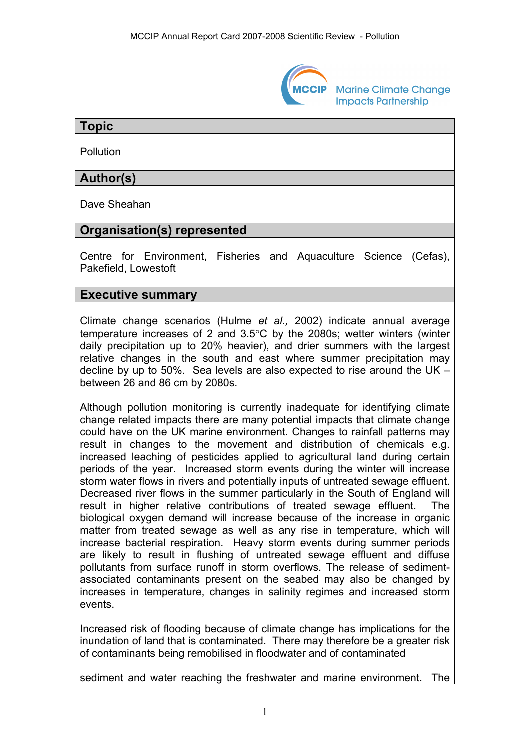

**Marine Climate Change Impacts Partnership** 

### **Topic**

**Pollution** 

# **Author(s)**

Dave Sheahan

# **Organisation(s) represented**

Centre for Environment, Fisheries and Aquaculture Science (Cefas), Pakefield, Lowestoft

### **Executive summary**

Climate change scenarios (Hulme *et al.,* 2002) indicate annual average temperature increases of 2 and 3.5°C by the 2080s; wetter winters (winter daily precipitation up to 20% heavier), and drier summers with the largest relative changes in the south and east where summer precipitation may decline by up to 50%. Sea levels are also expected to rise around the UK – between 26 and 86 cm by 2080s.

Although pollution monitoring is currently inadequate for identifying climate change related impacts there are many potential impacts that climate change could have on the UK marine environment. Changes to rainfall patterns may result in changes to the movement and distribution of chemicals e.g. increased leaching of pesticides applied to agricultural land during certain periods of the year. Increased storm events during the winter will increase storm water flows in rivers and potentially inputs of untreated sewage effluent. Decreased river flows in the summer particularly in the South of England will result in higher relative contributions of treated sewage effluent. The biological oxygen demand will increase because of the increase in organic matter from treated sewage as well as any rise in temperature, which will increase bacterial respiration. Heavy storm events during summer periods are likely to result in flushing of untreated sewage effluent and diffuse pollutants from surface runoff in storm overflows. The release of sedimentassociated contaminants present on the seabed may also be changed by increases in temperature, changes in salinity regimes and increased storm events.

Increased risk of flooding because of climate change has implications for the inundation of land that is contaminated. There may therefore be a greater risk of contaminants being remobilised in floodwater and of contaminated

sediment and water reaching the freshwater and marine environment. The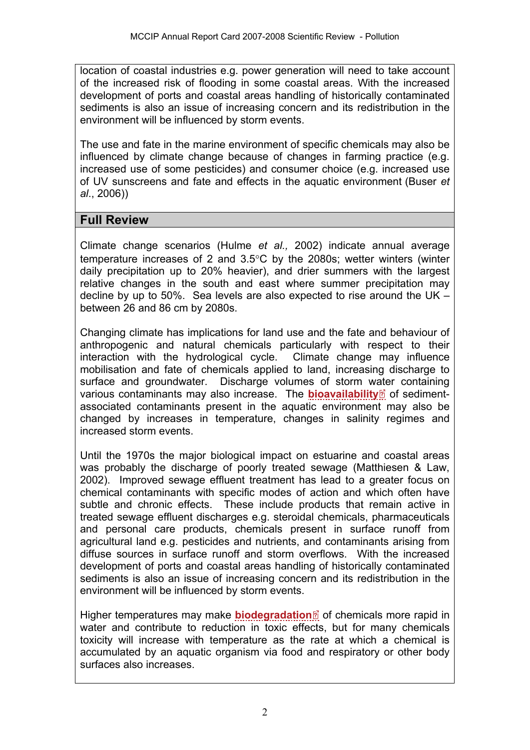location of coastal industries e.g. power generation will need to take account of the increased risk of flooding in some coastal areas. With the increased development of ports and coastal areas handling of historically contaminated sediments is also an issue of increasing concern and its redistribution in the environment will be influenced by storm events.

The use and fate in the marine environment of specific chemicals may also be influenced by climate change because of changes in farming practice (e.g. increased use of some pesticides) and consumer choice (e.g. increased use of UV sunscreens and fate and effects in the aquatic environment (Buser *et al*., 2006))

# **Full Review**

Climate change scenarios (Hulme *et al.,* 2002) indicate annual average temperature increases of 2 and 3.5°C by the 2080s; wetter winters (winter daily precipitation up to 20% heavier), and drier summers with the largest relative changes in the south and east where summer precipitation may decline by up to 50%. Sea levels are also expected to rise around the UK – between 26 and 86 cm by 2080s.

Changing climate has implications for land use and the fate and behaviour of anthropogenic and natural chemicals particularly with respect to their interaction with the hydrological cycle. Climate change may influence mobilisation and fate of chemicals applied to land, increasing discharge to surface and groundwater. Discharge volumes of storm [wate](http://www.mccip.org.uk/arc/2007/glossary.htm)r containing various contaminants may also increase. The **[bioavailability](http://www.mccip.org.uk/arc/2007/glossary.htm#Bioavailability)** of sedimentassociated contaminants present in the aquatic environment may also be changed by increases in temperature, changes in salinity regimes and increased storm events.

Until the 1970s the major biological impact on estuarine and coastal areas was probably the discharge of poorly treated sewage (Matthiesen & Law, 2002). Improved sewage effluent treatment has lead to a greater focus on chemical contaminants with specific modes of action and which often have subtle and chronic effects. These include products that remain active in treated sewage effluent discharges e.g. steroidal chemicals, pharmaceuticals and personal care products, chemicals present in surface runoff from agricultural land e.g. pesticides and nutrients, and contaminants arising from diffuse sources in surface runoff and storm overflows. With the increased development of ports and coastal areas handling of historically contaminated sediments is also an issue of increasing concern and its redistribution in the environment will be influenced by storm events.

Higher temperatures may make **[biodegradation](http://www.mccip.org.uk/arc/2007/glossary.htm#Biodegradation)** of chemicals more rapid in water and contribute to reduction in toxic effects, but for many chemicals toxicity will increase with temperature as the rate at which a chemical is accumulated by an aquatic organism via food and respiratory or other body surfaces also increases.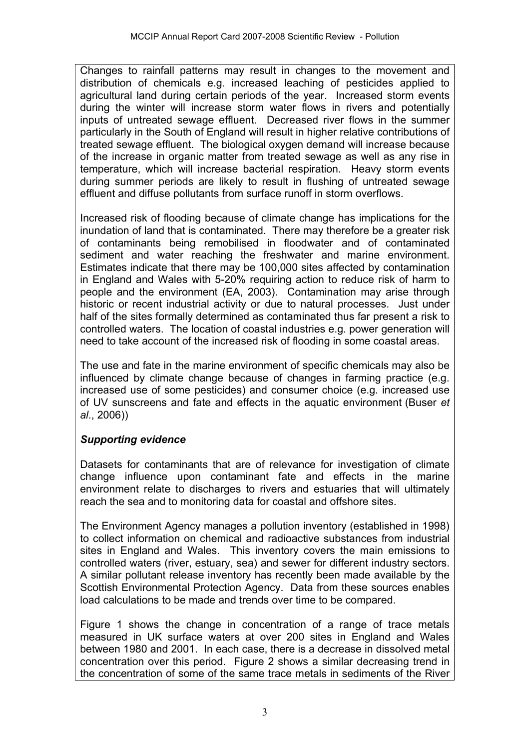Changes to rainfall patterns may result in changes to the movement and distribution of chemicals e.g. increased leaching of pesticides applied to agricultural land during certain periods of the year. Increased storm events during the winter will increase storm water flows in rivers and potentially inputs of untreated sewage effluent. Decreased river flows in the summer particularly in the South of England will result in higher relative contributions of treated sewage effluent. The biological oxygen demand will increase because of the increase in organic matter from treated sewage as well as any rise in temperature, which will increase bacterial respiration. Heavy storm events during summer periods are likely to result in flushing of untreated sewage effluent and diffuse pollutants from surface runoff in storm overflows.

Increased risk of flooding because of climate change has implications for the inundation of land that is contaminated. There may therefore be a greater risk of contaminants being remobilised in floodwater and of contaminated sediment and water reaching the freshwater and marine environment. Estimates indicate that there may be 100,000 sites affected by contamination in England and Wales with 5-20% requiring action to reduce risk of harm to people and the environment (EA, 2003). Contamination may arise through historic or recent industrial activity or due to natural processes. Just under half of the sites formally determined as contaminated thus far present a risk to controlled waters. The location of coastal industries e.g. power generation will need to take account of the increased risk of flooding in some coastal areas.

The use and fate in the marine environment of specific chemicals may also be influenced by climate change because of changes in farming practice (e.g. increased use of some pesticides) and consumer choice (e.g. increased use of UV sunscreens and fate and effects in the aquatic environment (Buser *et al*., 2006))

# *Supporting evidence*

Datasets for contaminants that are of relevance for investigation of climate change influence upon contaminant fate and effects in the marine environment relate to discharges to rivers and estuaries that will ultimately reach the sea and to monitoring data for coastal and offshore sites.

The Environment Agency manages a pollution inventory (established in 1998) to collect information on chemical and radioactive substances from industrial sites in England and Wales. This inventory covers the main emissions to controlled waters (river, estuary, sea) and sewer for different industry sectors. A similar pollutant release inventory has recently been made available by the Scottish Environmental Protection Agency. Data from these sources enables load calculations to be made and trends over time to be compared.

Figure 1 shows the change in concentration of a range of trace metals measured in UK surface waters at over 200 sites in England and Wales between 1980 and 2001. In each case, there is a decrease in dissolved metal concentration over this period. Figure 2 shows a similar decreasing trend in the concentration of some of the same trace metals in sediments of the River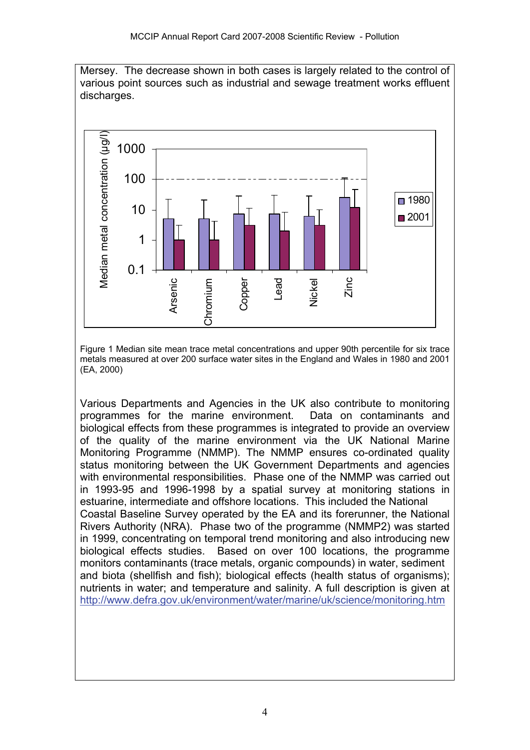Mersey. The decrease shown in both cases is largely related to the control of various point sources such as industrial and sewage treatment works effluent discharges.



Figure 1 Median site mean trace metal concentrations and upper 90th percentile for six trace metals measured at over 200 surface water sites in the England and Wales in 1980 and 2001 (EA, 2000)

Various Departments and Agencies in the UK also contribute to monitoring programmes for the marine environment. Data on contaminants and biological effects from these programmes is integrated to provide an overview of the quality of the marine environment via the UK National Marine Monitoring Programme (NMMP). The NMMP ensures co-ordinated quality status monitoring between the UK Government Departments and agencies with environmental responsibilities. Phase one of the NMMP was carried out in 1993-95 and 1996-1998 by a spatial survey at monitoring stations in estuarine, intermediate and offshore locations. This included the National Coastal Baseline Survey operated by the EA and its forerunner, the National Rivers Authority (NRA). Phase two of the programme (NMMP2) was started in 1999, concentrating on temporal trend monitoring and also introducing new biological effects studies. Based on over 100 locations, the programme monitors contaminants (trace metals, organic compounds) in water, sediment and biota (shellfish and fish); biological effects (health status of organisms); nutrients in water; and temperature and salinity. A full description is given at <http://www.defra.gov.uk/environment/water/marine/uk/science/monitoring.htm>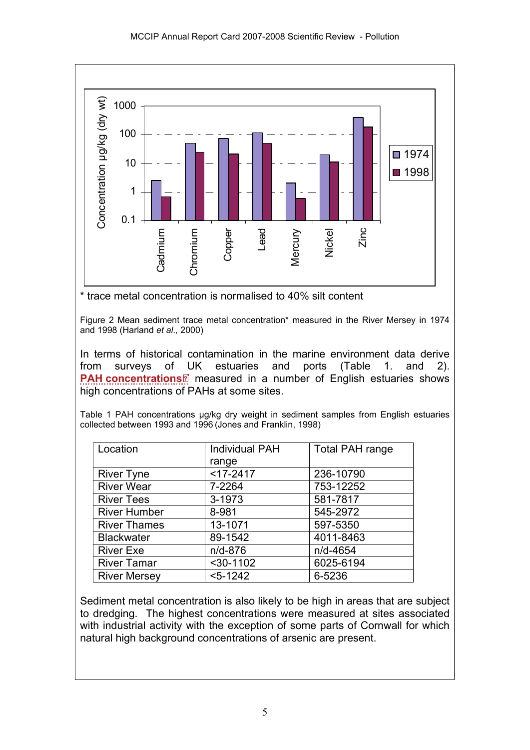

\* trace metal concentration is normalised to 40% silt content

Figure 2 Mean sediment trace metal concentration\* measured in the River Mersey in 1974 and 1998 (Harland *et al.,* 2000)

In terms of historical contamination in the marine environment data derive from surveys of UK estuaries and ports (Table 1. and 2). **[PAH concentrations](http://www.mccip.org.uk/arc/2007/glossary.htm#PAH)**<sup>2</sup> measured in a number of English estuaries shows high concentrations [of P](http://www.mccip.org.uk/arc/2007/glossary.htm)AHs at some sites.

Table 1 PAH concentrations ug/kg dry weight in sediment samples from English estuaries collected between 1993 and 1996 (Jones and Franklin, 1998)

| Location            | <b>Individual PAH</b> | <b>Total PAH range</b> |
|---------------------|-----------------------|------------------------|
|                     | range                 |                        |
| <b>River Tyne</b>   | $<$ 17-2417           | 236-10790              |
| <b>River Wear</b>   | 7-2264                | 753-12252              |
| <b>River Tees</b>   | 3-1973                | 581-7817               |
| <b>River Humber</b> | 8-981                 | 545-2972               |
| <b>River Thames</b> | 13-1071               | 597-5350               |
| <b>Blackwater</b>   | 89-1542               | 4011-8463              |
| <b>River Exe</b>    | $n/d - 876$           | n/d-4654               |
| <b>River Tamar</b>  | $30-1102$             | 6025-6194              |
| <b>River Mersey</b> | $< 5 - 1242$          | 6-5236                 |

Sediment metal concentration is also likely to be high in areas that are subject to dredging. The highest concentrations were measured at sites associated with industrial activity with the exception of some parts of Cornwall for which natural high background concentrations of arsenic are present.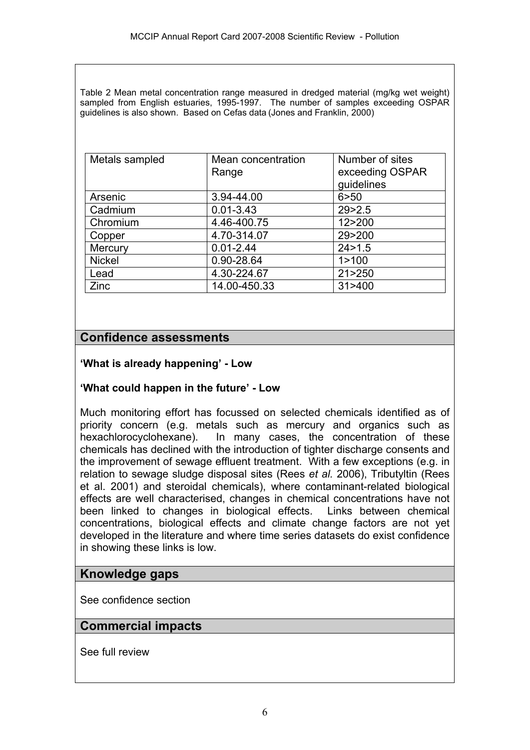Table 2 Mean metal concentration range measured in dredged material (mg/kg wet weight) sampled from English estuaries, 1995-1997. The number of samples exceeding OSPAR guidelines is also shown. Based on Cefas data (Jones and Franklin, 2000)

| Metals sampled | Mean concentration<br>Range | Number of sites<br>exceeding OSPAR<br>guidelines |
|----------------|-----------------------------|--------------------------------------------------|
| Arsenic        | 3.94-44.00                  | 6 > 50                                           |
| Cadmium        | $0.01 - 3.43$               | 29 > 2.5                                         |
| Chromium       | 4.46-400.75                 | 12>200                                           |
| Copper         | 4.70-314.07                 | 29>200                                           |
| Mercury        | $0.01 - 2.44$               | 24 > 1.5                                         |
| <b>Nickel</b>  | 0.90-28.64                  | 1 > 100                                          |
| Lead           | 4.30-224.67                 | 21 > 250                                         |
| Zinc           | 14.00-450.33                | 31 > 400                                         |

# **Confidence assessments**

#### **'What is already happening' - Low**

#### **'What could happen in the future' - Low**

Much monitoring effort has focussed on selected chemicals identified as of priority concern (e.g. metals such as mercury and organics such as hexachlorocyclohexane). In many cases, the concentration of these chemicals has declined with the introduction of tighter discharge consents and the improvement of sewage effluent treatment. With a few exceptions (e.g. in relation to sewage sludge disposal sites (Rees *et al.* 2006), Tributyltin (Rees et al. 2001) and steroidal chemicals), where contaminant-related biological effects are well characterised, changes in chemical concentrations have not been linked to changes in biological effects. Links between chemical concentrations, biological effects and climate change factors are not yet developed in the literature and where time series datasets do exist confidence in showing these links is low.

#### **Knowledge gaps**

See confidence section

# **Commercial impacts**

See full review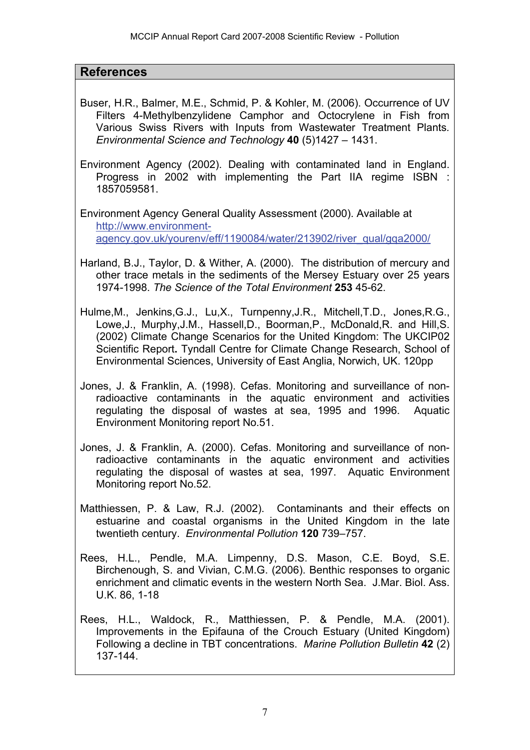#### **References**

- Buser, H.R., Balmer, M.E., Schmid, P. & Kohler, M. (2006). Occurrence of UV Filters 4-Methylbenzylidene Camphor and Octocrylene in Fish from Various Swiss Rivers with Inputs from Wastewater Treatment Plants*. Environmental Science and Technology* **40** (5)1427 – 1431.
- Environment Agency (2002). Dealing with contaminated land in England. Progress in 2002 with implementing the Part IIA regime ISBN : 1857059581.
- Environment Agency General Quality Assessment (2000). Available at [http://www.environment](http://www.environment-agency.gov.uk/yourenv/eff/1190084/water/213902/river_qual/gqa2000/)[agency.gov.uk/yourenv/eff/1190084/water/213902/river\\_qual/gqa2000/](http://www.environment-agency.gov.uk/yourenv/eff/1190084/water/213902/river_qual/gqa2000/)
- Harland, B.J., Taylor, D. & Wither, A. (2000). The distribution of mercury and other trace metals in the sediments of the Mersey Estuary over 25 years 1974-1998. *The Science of the Total Environment* **253** 45-62.
- Hulme,M., Jenkins,G.J., Lu,X., Turnpenny,J.R., Mitchell,T.D., Jones,R.G., Lowe,J., Murphy,J.M., Hassell,D., Boorman,P., McDonald,R. and Hill,S. (2002) Climate Change Scenarios for the United Kingdom: The UKCIP02 Scientific Report**.** Tyndall Centre for Climate Change Research, School of Environmental Sciences, University of East Anglia, Norwich, UK. 120pp
- Jones, J. & Franklin, A. (1998). Cefas. Monitoring and surveillance of nonradioactive contaminants in the aquatic environment and activities regulating the disposal of wastes at sea, 1995 and 1996. Aquatic Environment Monitoring report No.51.
- Jones, J. & Franklin, A. (2000). Cefas. Monitoring and surveillance of nonradioactive contaminants in the aquatic environment and activities regulating the disposal of wastes at sea, 1997. Aquatic Environment Monitoring report No.52.
- Matthiessen, P. & Law, R.J. (2002). Contaminants and their effects on estuarine and coastal organisms in the United Kingdom in the late twentieth century. *Environmental Pollution* **120** 739–757.
- Rees, H.L., Pendle, M.A. Limpenny, D.S. Mason, C.E. Boyd, S.E. Birchenough, S. and Vivian, C.M.G. (2006). Benthic responses to organic enrichment and climatic events in the western North Sea. J.Mar. Biol. Ass. U.K. 86, 1-18
- Rees, H.L., Waldock, R., Matthiessen, P. & Pendle, M.A. (2001). Improvements in the Epifauna of the Crouch Estuary (United Kingdom) Following a decline in TBT concentrations. *Marine Pollution Bulletin* **42** (2) 137-144.